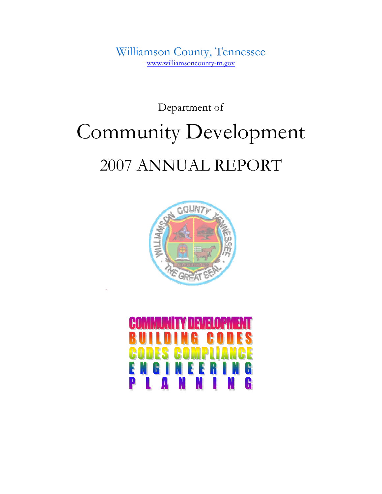Williamson County, Tennessee www.williamsoncounty-tn.gov

# Department of Community Development 2007 ANNUAL REPORT



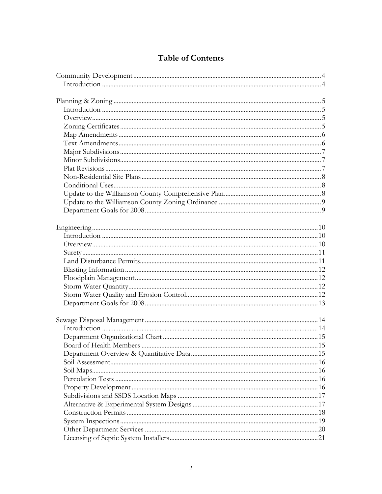# **Table of Contents**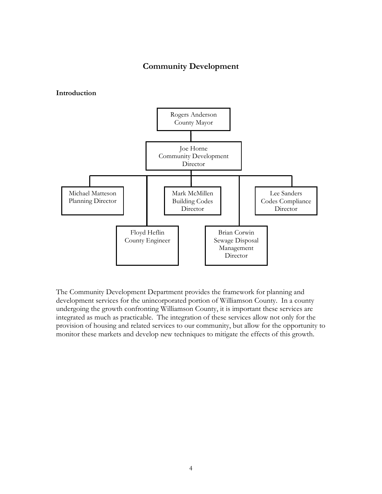# Community Development

#### Introduction



The Community Development Department provides the framework for planning and development services for the unincorporated portion of Williamson County. In a county undergoing the growth confronting Williamson County, it is important these services are integrated as much as practicable. The integration of these services allow not only for the provision of housing and related services to our community, but allow for the opportunity to monitor these markets and develop new techniques to mitigate the effects of this growth.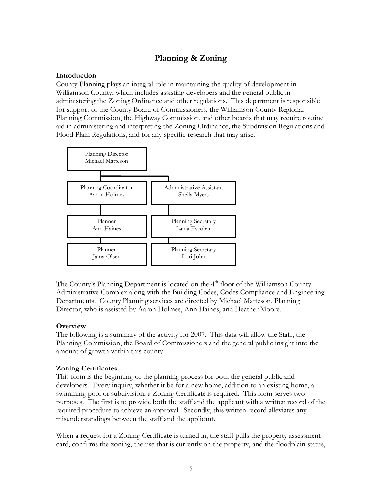# Planning & Zoning

# Introduction

County Planning plays an integral role in maintaining the quality of development in Williamson County, which includes assisting developers and the general public in administering the Zoning Ordinance and other regulations. This department is responsible for support of the County Board of Commissioners, the Williamson County Regional Planning Commission, the Highway Commission, and other boards that may require routine aid in administering and interpreting the Zoning Ordinance, the Subdivision Regulations and Flood Plain Regulations, and for any specific research that may arise.



The County's Planning Department is located on the 4<sup>th</sup> floor of the Williamson County Administrative Complex along with the Building Codes, Codes Compliance and Engineering Departments. County Planning services are directed by Michael Matteson, Planning Director, who is assisted by Aaron Holmes, Ann Haines, and Heather Moore.

# **Overview**

The following is a summary of the activity for 2007. This data will allow the Staff, the Planning Commission, the Board of Commissioners and the general public insight into the amount of growth within this county.

## Zoning Certificates

This form is the beginning of the planning process for both the general public and developers. Every inquiry, whether it be for a new home, addition to an existing home, a swimming pool or subdivision, a Zoning Certificate is required. This form serves two purposes. The first is to provide both the staff and the applicant with a written record of the required procedure to achieve an approval. Secondly, this written record alleviates any misunderstandings between the staff and the applicant.

When a request for a Zoning Certificate is turned in, the staff pulls the property assessment card, confirms the zoning, the use that is currently on the property, and the floodplain status,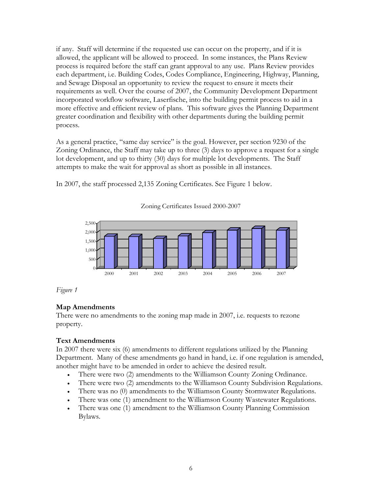if any. Staff will determine if the requested use can occur on the property, and if it is allowed, the applicant will be allowed to proceed. In some instances, the Plans Review process is required before the staff can grant approval to any use. Plans Review provides each department, i.e. Building Codes, Codes Compliance, Engineering, Highway, Planning, and Sewage Disposal an opportunity to review the request to ensure it meets their requirements as well. Over the course of 2007, the Community Development Department incorporated workflow software, Laserfische, into the building permit process to aid in a more effective and efficient review of plans. This software gives the Planning Department greater coordination and flexibility with other departments during the building permit process.

As a general practice, "same day service" is the goal. However, per section 9230 of the Zoning Ordinance, the Staff may take up to three (3) days to approve a request for a single lot development, and up to thirty (30) days for multiple lot developments. The Staff attempts to make the wait for approval as short as possible in all instances.

In 2007, the staff processed 2,135 Zoning Certificates. See Figure 1 below.



Zoning Certificates Issued 2000-2007

Figure 1

# Map Amendments

There were no amendments to the zoning map made in 2007, i.e. requests to rezone property.

# Text Amendments

In 2007 there were six (6) amendments to different regulations utilized by the Planning Department. Many of these amendments go hand in hand, i.e. if one regulation is amended, another might have to be amended in order to achieve the desired result.

- There were two (2) amendments to the Williamson County Zoning Ordinance.
- There were two (2) amendments to the Williamson County Subdivision Regulations.
- There was no (0) amendments to the Williamson County Stormwater Regulations.
- There was one (1) amendment to the Williamson County Wastewater Regulations.
- There was one (1) amendment to the Williamson County Planning Commission Bylaws.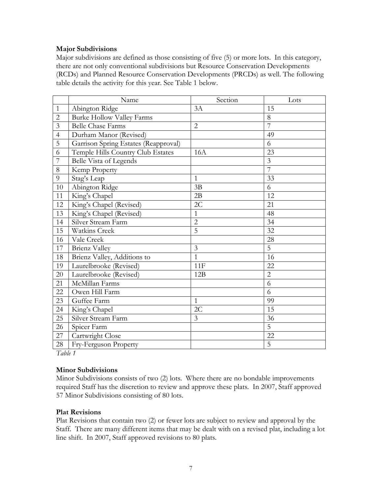## Major Subdivisions

Major subdivisions are defined as those consisting of five (5) or more lots. In this category, there are not only conventional subdivisions but Resource Conservation Developments (RCDs) and Planned Resource Conservation Developments (PRCDs) as well. The following table details the activity for this year. See Table 1 below.

|                         | Name                                 | Section        | Lots           |
|-------------------------|--------------------------------------|----------------|----------------|
| $\mathbf{1}$            | Abington Ridge                       | 3A             | 15             |
| $\overline{2}$          | <b>Burke Hollow Valley Farms</b>     |                | 8              |
| $\overline{\mathbf{3}}$ | <b>Belle Chase Farms</b>             | $\overline{2}$ | $\overline{7}$ |
| $\overline{4}$          | Durham Manor (Revised)               |                | 49             |
| $\overline{5}$          | Garrison Spring Estates (Reapproval) |                | 6              |
| 6                       | Temple Hills Country Club Estates    | <b>16A</b>     | 23             |
| 7                       | Belle Vista of Legends               |                | $\mathfrak{Z}$ |
| 8                       | Kemp Property                        |                | $\overline{7}$ |
| 9                       | Stag's Leap                          | 1              | 33             |
| 10                      | Abington Ridge                       | 3B             | 6              |
| 11                      | King's Chapel                        | 2B             | 12             |
| 12                      | King's Chapel (Revised)              | 2C             | 21             |
| 13                      | King's Chapel (Revised)              | $\mathbf{1}$   | 48             |
| 14                      | Silver Stream Farm                   | $\overline{2}$ | 34             |
| 15                      | <b>Watkins Creek</b>                 | $\overline{5}$ | 32             |
| 16                      | Vale Creek                           |                | 28             |
| 17                      | Brienz Valley                        | $\overline{3}$ | 5              |
| 18                      | Brienz Valley, Additions to          | 1              | 16             |
| 19                      | Laurelbrooke (Revised)               | 11F            | 22             |
| 20                      | Laurelbrooke (Revised)               | 12B            | $\overline{2}$ |
| 21                      | McMillan Farms                       |                | 6              |
| 22                      | Owen Hill Farm                       |                | 6              |
| 23                      | Guffee Farm                          | $\mathbf{1}$   | 99             |
| 24                      | King's Chapel                        | 2C             | 15             |
| 25                      | Silver Stream Farm                   | 3              | 36             |
| 26                      | Spicer Farm                          |                | $\overline{5}$ |
| 27                      | Cartwright Close                     |                | 22             |
| 28                      | Fry-Ferguson Property                |                | 5              |

Table 1

#### Minor Subdivisions

Minor Subdivisions consists of two (2) lots. Where there are no bondable improvements required Staff has the discretion to review and approve these plats. In 2007, Staff approved 57 Minor Subdivisions consisting of 80 lots.

#### Plat Revisions

Plat Revisions that contain two (2) or fewer lots are subject to review and approval by the Staff. There are many different items that may be dealt with on a revised plat, including a lot line shift. In 2007, Staff approved revisions to 80 plats.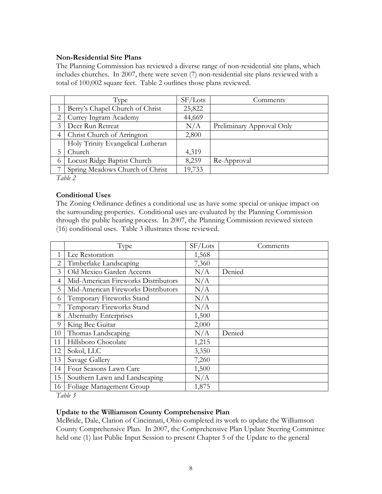## Non-Residential Site Plans

The Planning Commission has reviewed a diverse range of non-residential site plans, which includes churches. In 2007, there were seven (7) non-residential site plans reviewed with a total of 100,002 square feet. Table 2 outlines those plans reviewed.

|                | Type                              | SF/Lots | Comments                  |
|----------------|-----------------------------------|---------|---------------------------|
|                | Berry's Chapel Church of Christ   | 25,822  |                           |
| 2              | Currey Ingram Academy             | 44,669  |                           |
| 3              | Deer Run Retreat                  | N/A     | Preliminary Approval Only |
| $\overline{4}$ | Christ Church of Arrington        | 2,800   |                           |
|                | Holy Trinity Evangelical Lutheran |         |                           |
|                | Church                            | 4,319   |                           |
| 6              | Locust Ridge Baptist Church       | 8,259   | Re-Approval               |
|                | Spring Meadows Church of Christ   | 19,733  |                           |

Table 2

#### Conditional Uses

The Zoning Ordinance defines a conditional use as have some special or unique impact on the surrounding properties. Conditional uses are evaluated by the Planning Commission through the public hearing process. In 2007, the Planning Commission reviewed sixteen (16) conditional uses. Table 3 illustrates those reviewed.

|    | Type                                | SF/Lots | Comments |
|----|-------------------------------------|---------|----------|
| 1  | Lee Restoration                     | 1,568   |          |
| 2  | Timberlake Landscaping              | 7,360   |          |
| 3  | Old Mexico Garden Accents           | N/A     | Denied   |
| 4  | Mid-American Fireworks Distributors | N/A     |          |
| 5  | Mid-American Fireworks Distributors | N/A     |          |
| 6  | Temporary Fireworks Stand           | N/A     |          |
| 7  | Temporary Fireworks Stand           | N/A     |          |
| 8  | Abernathy Enterprises               | 1,500   |          |
| 9  | King Bee Guitar                     | 2,000   |          |
| 10 | Thomas Landscaping                  | N/A     | Denied   |
| 11 | Hillsboro Chocolate                 | 1,215   |          |
| 12 | Sokol, LLC                          | 3,350   |          |
| 13 | Savage Gallery                      | 7,260   |          |
| 14 | Four Seasons Lawn Care              | 1,500   |          |
| 15 | Southern Lawn and Landscaping       | N/A     |          |
| 16 | Foliage Management Group            | 1,875   |          |

Table 3

## Update to the Williamson County Comprehensive Plan

McBride, Dale, Clarion of Cincinnati, Ohio completed its work to update the Williamson County Comprehensive Plan. In 2007, the Comprehensive Plan Update Steering Committee held one (1) last Public Input Session to present Chapter 5 of the Update to the general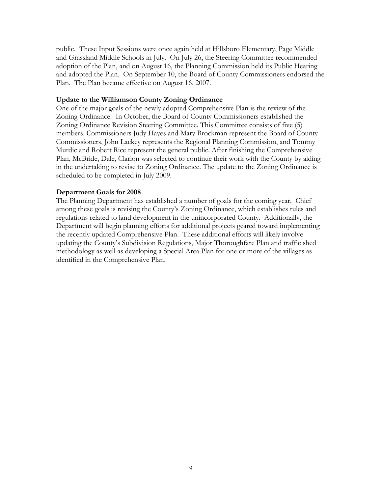public. These Input Sessions were once again held at Hillsboro Elementary, Page Middle and Grassland Middle Schools in July. On July 26, the Steering Committee recommended adoption of the Plan, and on August 16, the Planning Commission held its Public Hearing and adopted the Plan. On September 10, the Board of County Commissioners endorsed the Plan. The Plan became effective on August 16, 2007.

#### Update to the Williamson County Zoning Ordinance

One of the major goals of the newly adopted Comprehensive Plan is the review of the Zoning Ordinance. In October, the Board of County Commissioners established the Zoning Ordinance Revision Steering Committee. This Committee consists of five (5) members. Commissioners Judy Hayes and Mary Brockman represent the Board of County Commissioners, John Lackey represents the Regional Planning Commission, and Tommy Murdic and Robert Rice represent the general public. After finishing the Comprehensive Plan, McBride, Dale, Clarion was selected to continue their work with the County by aiding in the undertaking to revise to Zoning Ordinance. The update to the Zoning Ordinance is scheduled to be completed in July 2009.

## Department Goals for 2008

The Planning Department has established a number of goals for the coming year. Chief among these goals is revising the County's Zoning Ordinance, which establishes rules and regulations related to land development in the unincorporated County. Additionally, the Department will begin planning efforts for additional projects geared toward implementing the recently updated Comprehensive Plan. These additional efforts will likely involve updating the County's Subdivision Regulations, Major Thoroughfare Plan and traffic shed methodology as well as developing a Special Area Plan for one or more of the villages as identified in the Comprehensive Plan.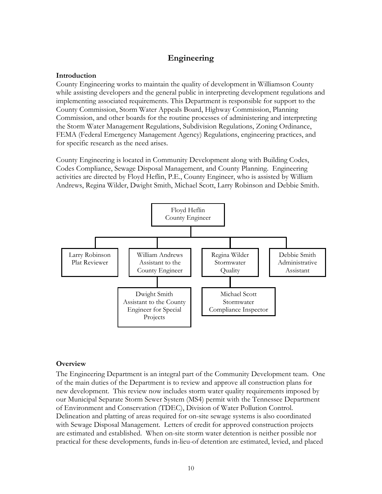# Engineering

# Introduction

County Engineering works to maintain the quality of development in Williamson County while assisting developers and the general public in interpreting development regulations and implementing associated requirements. This Department is responsible for support to the County Commission, Storm Water Appeals Board, Highway Commission, Planning Commission, and other boards for the routine processes of administering and interpreting the Storm Water Management Regulations, Subdivision Regulations, Zoning Ordinance, FEMA (Federal Emergency Management Agency) Regulations, engineering practices, and for specific research as the need arises.

County Engineering is located in Community Development along with Building Codes, Codes Compliance, Sewage Disposal Management, and County Planning. Engineering activities are directed by Floyd Heflin, P.E., County Engineer, who is assisted by William Andrews, Regina Wilder, Dwight Smith, Michael Scott, Larry Robinson and Debbie Smith.



## **Overview**

The Engineering Department is an integral part of the Community Development team. One of the main duties of the Department is to review and approve all construction plans for new development. This review now includes storm water quality requirements imposed by our Municipal Separate Storm Sewer System (MS4) permit with the Tennessee Department of Environment and Conservation (TDEC), Division of Water Pollution Control. Delineation and platting of areas required for on-site sewage systems is also coordinated with Sewage Disposal Management. Letters of credit for approved construction projects are estimated and established. When on-site storm water detention is neither possible nor practical for these developments, funds in-lieu-of detention are estimated, levied, and placed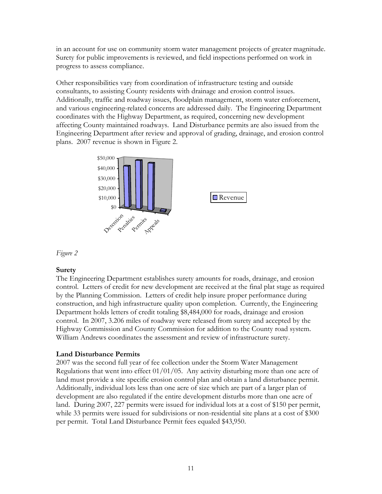in an account for use on community storm water management projects of greater magnitude. Surety for public improvements is reviewed, and field inspections performed on work in progress to assess compliance.

Other responsibilities vary from coordination of infrastructure testing and outside consultants, to assisting County residents with drainage and erosion control issues. Additionally, traffic and roadway issues, floodplain management, storm water enforcement, and various engineering-related concerns are addressed daily. The Engineering Department coordinates with the Highway Department, as required, concerning new development affecting County maintained roadways. Land Disturbance permits are also issued from the Engineering Department after review and approval of grading, drainage, and erosion control plans. 2007 revenue is shown in Figure 2.



Figure 2

# Surety

The Engineering Department establishes surety amounts for roads, drainage, and erosion control. Letters of credit for new development are received at the final plat stage as required by the Planning Commission. Letters of credit help insure proper performance during construction, and high infrastructure quality upon completion. Currently, the Engineering Department holds letters of credit totaling \$8,484,000 for roads, drainage and erosion control. In 2007, 3.206 miles of roadway were released from surety and accepted by the Highway Commission and County Commission for addition to the County road system. William Andrews coordinates the assessment and review of infrastructure surety.

## Land Disturbance Permits

2007 was the second full year of fee collection under the Storm Water Management Regulations that went into effect  $01/01/05$ . Any activity disturbing more than one acre of land must provide a site specific erosion control plan and obtain a land disturbance permit. Additionally, individual lots less than one acre of size which are part of a larger plan of development are also regulated if the entire development disturbs more than one acre of land. During 2007, 227 permits were issued for individual lots at a cost of \$150 per permit, while 33 permits were issued for subdivisions or non-residential site plans at a cost of \$300 per permit. Total Land Disturbance Permit fees equaled \$43,950.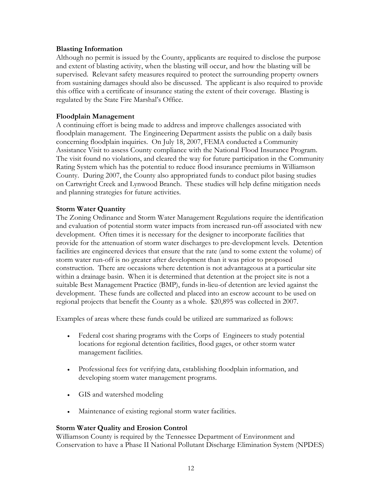## Blasting Information

Although no permit is issued by the County, applicants are required to disclose the purpose and extent of blasting activity, when the blasting will occur, and how the blasting will be supervised. Relevant safety measures required to protect the surrounding property owners from sustaining damages should also be discussed. The applicant is also required to provide this office with a certificate of insurance stating the extent of their coverage. Blasting is regulated by the State Fire Marshal's Office.

## Floodplain Management

A continuing effort is being made to address and improve challenges associated with floodplain management. The Engineering Department assists the public on a daily basis concerning floodplain inquiries. On July 18, 2007, FEMA conducted a Community Assistance Visit to assess County compliance with the National Flood Insurance Program. The visit found no violations, and cleared the way for future participation in the Community Rating System which has the potential to reduce flood insurance premiums in Williamson County. During 2007, the County also appropriated funds to conduct pilot basing studies on Cartwright Creek and Lynwood Branch. These studies will help define mitigation needs and planning strategies for future activities.

#### Storm Water Quantity

The Zoning Ordinance and Storm Water Management Regulations require the identification and evaluation of potential storm water impacts from increased run-off associated with new development. Often times it is necessary for the designer to incorporate facilities that provide for the attenuation of storm water discharges to pre-development levels. Detention facilities are engineered devices that ensure that the rate (and to some extent the volume) of storm water run-off is no greater after development than it was prior to proposed construction. There are occasions where detention is not advantageous at a particular site within a drainage basin. When it is determined that detention at the project site is not a suitable Best Management Practice (BMP), funds in-lieu-of detention are levied against the development. These funds are collected and placed into an escrow account to be used on regional projects that benefit the County as a whole. \$20,895 was collected in 2007.

Examples of areas where these funds could be utilized are summarized as follows:

- Federal cost sharing programs with the Corps of Engineers to study potential locations for regional detention facilities, flood gages, or other storm water management facilities.
- Professional fees for verifying data, establishing floodplain information, and developing storm water management programs.
- GIS and watershed modeling
- Maintenance of existing regional storm water facilities.

## Storm Water Quality and Erosion Control

Williamson County is required by the Tennessee Department of Environment and Conservation to have a Phase II National Pollutant Discharge Elimination System (NPDES)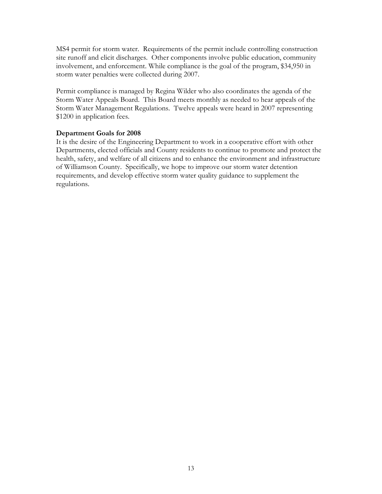MS4 permit for storm water. Requirements of the permit include controlling construction site runoff and elicit discharges. Other components involve public education, community involvement, and enforcement. While compliance is the goal of the program, \$34,950 in storm water penalties were collected during 2007.

Permit compliance is managed by Regina Wilder who also coordinates the agenda of the Storm Water Appeals Board. This Board meets monthly as needed to hear appeals of the Storm Water Management Regulations. Twelve appeals were heard in 2007 representing \$1200 in application fees.

## Department Goals for 2008

It is the desire of the Engineering Department to work in a cooperative effort with other Departments, elected officials and County residents to continue to promote and protect the health, safety, and welfare of all citizens and to enhance the environment and infrastructure of Williamson County. Specifically, we hope to improve our storm water detention requirements, and develop effective storm water quality guidance to supplement the regulations.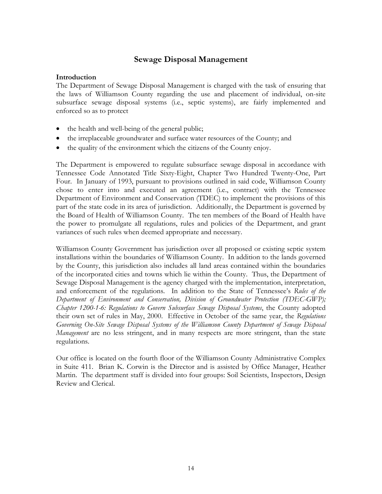# Sewage Disposal Management

#### Introduction

The Department of Sewage Disposal Management is charged with the task of ensuring that the laws of Williamson County regarding the use and placement of individual, on-site subsurface sewage disposal systems (i.e., septic systems), are fairly implemented and enforced so as to protect

- the health and well-being of the general public;
- the irreplaceable groundwater and surface water resources of the County; and
- the quality of the environment which the citizens of the County enjoy.

The Department is empowered to regulate subsurface sewage disposal in accordance with Tennessee Code Annotated Title Sixty-Eight, Chapter Two Hundred Twenty-One, Part Four. In January of 1993, pursuant to provisions outlined in said code, Williamson County chose to enter into and executed an agreement (i.e., contract) with the Tennessee Department of Environment and Conservation (TDEC) to implement the provisions of this part of the state code in its area of jurisdiction. Additionally, the Department is governed by the Board of Health of Williamson County. The ten members of the Board of Health have the power to promulgate all regulations, rules and policies of the Department, and grant variances of such rules when deemed appropriate and necessary.

Williamson County Government has jurisdiction over all proposed or existing septic system installations within the boundaries of Williamson County. In addition to the lands governed by the County, this jurisdiction also includes all land areas contained within the boundaries of the incorporated cities and towns which lie within the County. Thus, the Department of Sewage Disposal Management is the agency charged with the implementation, interpretation, and enforcement of the regulations. In addition to the State of Tennessee's Rules of the Department of Environment and Conservation, Division of Groundwater Protection (TDEC-GWP); Chapter 1200-1-6: Regulations to Govern Subsurface Sewage Disposal Systems, the County adopted their own set of rules in May, 2000. Effective in October of the same year, the Regulations Governing On-Site Sewage Disposal Systems of the Williamson County Department of Sewage Disposal Management are no less stringent, and in many respects are more stringent, than the state regulations.

Our office is located on the fourth floor of the Williamson County Administrative Complex in Suite 411. Brian K. Corwin is the Director and is assisted by Office Manager, Heather Martin. The department staff is divided into four groups: Soil Scientists, Inspectors, Design Review and Clerical.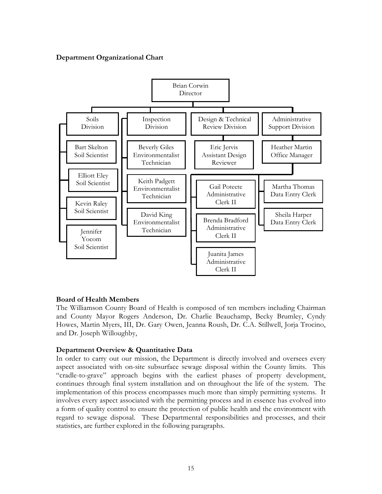## Department Organizational Chart



#### Board of Health Members

The Williamson County Board of Health is composed of ten members including Chairman and County Mayor Rogers Anderson, Dr. Charlie Beauchamp, Becky Brumley, Cyndy Howes, Martin Myers, III, Dr. Gary Owen, Jeanna Roush, Dr. C.A. Stillwell, Jorja Trocino, and Dr. Joseph Willoughby,

## Department Overview & Quantitative Data

In order to carry out our mission, the Department is directly involved and oversees every aspect associated with on-site subsurface sewage disposal within the County limits. This "cradle-to-grave" approach begins with the earliest phases of property development, continues through final system installation and on throughout the life of the system. The implementation of this process encompasses much more than simply permitting systems. It involves every aspect associated with the permitting process and in essence has evolved into a form of quality control to ensure the protection of public health and the environment with regard to sewage disposal. These Departmental responsibilities and processes, and their statistics, are further explored in the following paragraphs.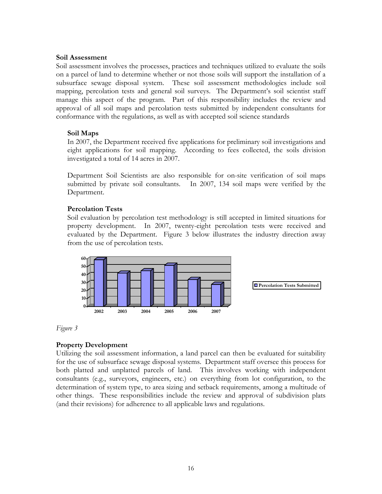#### Soil Assessment

Soil assessment involves the processes, practices and techniques utilized to evaluate the soils on a parcel of land to determine whether or not those soils will support the installation of a subsurface sewage disposal system. These soil assessment methodologies include soil mapping, percolation tests and general soil surveys. The Department's soil scientist staff manage this aspect of the program. Part of this responsibility includes the review and approval of all soil maps and percolation tests submitted by independent consultants for conformance with the regulations, as well as with accepted soil science standards

## Soil Maps

In 2007, the Department received five applications for preliminary soil investigations and eight applications for soil mapping. According to fees collected, the soils division investigated a total of 14 acres in 2007.

Department Soil Scientists are also responsible for on-site verification of soil maps submitted by private soil consultants. In 2007, 134 soil maps were verified by the Department.

## Percolation Tests

Soil evaluation by percolation test methodology is still accepted in limited situations for property development. In 2007, twenty-eight percolation tests were received and evaluated by the Department. Figure 3 below illustrates the industry direction away from the use of percolation tests.



Figure 3

# Property Development

Utilizing the soil assessment information, a land parcel can then be evaluated for suitability for the use of subsurface sewage disposal systems. Department staff oversee this process for both platted and unplatted parcels of land. This involves working with independent consultants (e.g., surveyors, engineers, etc.) on everything from lot configuration, to the determination of system type, to area sizing and setback requirements, among a multitude of other things. These responsibilities include the review and approval of subdivision plats (and their revisions) for adherence to all applicable laws and regulations.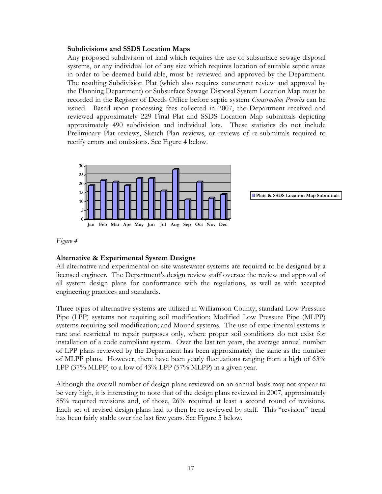#### Subdivisions and SSDS Location Maps

Any proposed subdivision of land which requires the use of subsurface sewage disposal systems, or any individual lot of any size which requires location of suitable septic areas in order to be deemed build-able, must be reviewed and approved by the Department. The resulting Subdivision Plat (which also requires concurrent review and approval by the Planning Department) or Subsurface Sewage Disposal System Location Map must be recorded in the Register of Deeds Office before septic system *Construction Permits* can be issued. Based upon processing fees collected in 2007, the Department received and reviewed approximately 229 Final Plat and SSDS Location Map submittals depicting approximately 490 subdivision and individual lots. These statistics do not include Preliminary Plat reviews, Sketch Plan reviews, or reviews of re-submittals required to rectify errors and omissions. See Figure 4 below.



#### Figure 4

#### Alternative & Experimental System Designs

All alternative and experimental on-site wastewater systems are required to be designed by a licensed engineer. The Department's design review staff oversee the review and approval of all system design plans for conformance with the regulations, as well as with accepted engineering practices and standards.

Three types of alternative systems are utilized in Williamson County; standard Low Pressure Pipe (LPP) systems not requiring soil modification; Modified Low Pressure Pipe (MLPP) systems requiring soil modification; and Mound systems. The use of experimental systems is rare and restricted to repair purposes only, where proper soil conditions do not exist for installation of a code compliant system. Over the last ten years, the average annual number of LPP plans reviewed by the Department has been approximately the same as the number of MLPP plans. However, there have been yearly fluctuations ranging from a high of 63% LPP (37% MLPP) to a low of  $43\%$  LPP (57% MLPP) in a given year.

Although the overall number of design plans reviewed on an annual basis may not appear to be very high, it is interesting to note that of the design plans reviewed in 2007, approximately 85% required revisions and, of those, 26% required at least a second round of revisions. Each set of revised design plans had to then be re-reviewed by staff. This "revision" trend has been fairly stable over the last few years. See Figure 5 below.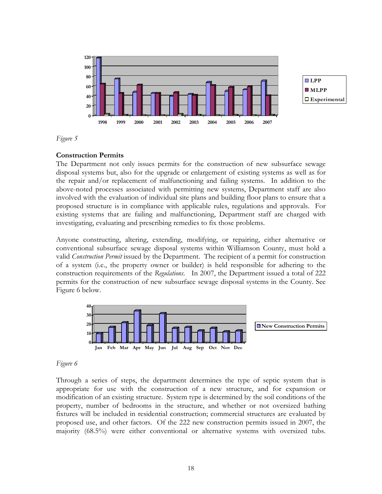

Figure 5

#### Construction Permits

The Department not only issues permits for the construction of new subsurface sewage disposal systems but, also for the upgrade or enlargement of existing systems as well as for the repair and/or replacement of malfunctioning and failing systems. In addition to the above-noted processes associated with permitting new systems, Department staff are also involved with the evaluation of individual site plans and building floor plans to ensure that a proposed structure is in compliance with applicable rules, regulations and approvals. For existing systems that are failing and malfunctioning, Department staff are charged with investigating, evaluating and prescribing remedies to fix those problems.

Anyone constructing, altering, extending, modifying, or repairing, either alternative or conventional subsurface sewage disposal systems within Williamson County, must hold a valid *Construction Permit* issued by the Department. The recipient of a permit for construction of a system (i.e., the property owner or builder) is held responsible for adhering to the construction requirements of the Regulations. In 2007, the Department issued a total of 222 permits for the construction of new subsurface sewage disposal systems in the County. See Figure 6 below.



#### Figure 6

Through a series of steps, the department determines the type of septic system that is appropriate for use with the construction of a new structure, and for expansion or modification of an existing structure. System type is determined by the soil conditions of the property, number of bedrooms in the structure, and whether or not oversized bathing fixtures will be included in residential construction; commercial structures are evaluated by proposed use, and other factors. Of the 222 new construction permits issued in 2007, the majority (68.5%) were either conventional or alternative systems with oversized tubs.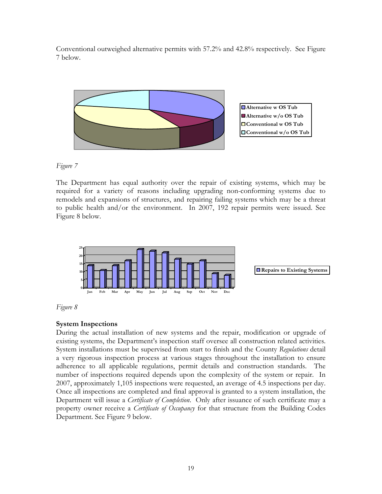Conventional outweighed alternative permits with 57.2% and 42.8% respectively. See Figure 7 below.



Figure 7

The Department has equal authority over the repair of existing systems, which may be required for a variety of reasons including upgrading non-conforming systems due to remodels and expansions of structures, and repairing failing systems which may be a threat to public health and/or the environment. In 2007, 192 repair permits were issued. See Figure 8 below.





# System Inspections

During the actual installation of new systems and the repair, modification or upgrade of existing systems, the Department's inspection staff oversee all construction related activities. System installations must be supervised from start to finish and the County Regulations detail a very rigorous inspection process at various stages throughout the installation to ensure adherence to all applicable regulations, permit details and construction standards. The number of inspections required depends upon the complexity of the system or repair. In 2007, approximately 1,105 inspections were requested, an average of 4.5 inspections per day. Once all inspections are completed and final approval is granted to a system installation, the Department will issue a *Certificate of Completion*. Only after issuance of such certificate may a property owner receive a Certificate of Occupancy for that structure from the Building Codes Department. See Figure 9 below.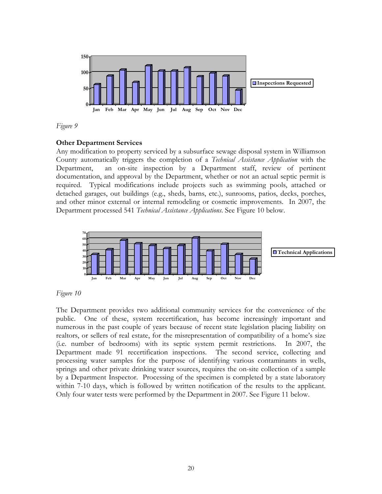

Figure 9

# Other Department Services

Any modification to property serviced by a subsurface sewage disposal system in Williamson County automatically triggers the completion of a Technical Assistance Application with the Department, an on-site inspection by a Department staff, review of pertinent documentation, and approval by the Department, whether or not an actual septic permit is required. Typical modifications include projects such as swimming pools, attached or detached garages, out buildings (e.g., sheds, barns, etc.), sunrooms, patios, decks, porches, and other minor external or internal remodeling or cosmetic improvements. In 2007, the Department processed 541 Technical Assistance Applications. See Figure 10 below.



## Figure 10

The Department provides two additional community services for the convenience of the public. One of these, system recertification, has become increasingly important and numerous in the past couple of years because of recent state legislation placing liability on realtors, or sellers of real estate, for the misrepresentation of compatibility of a home's size (i.e. number of bedrooms) with its septic system permit restrictions. In 2007, the Department made 91 recertification inspections. The second service, collecting and processing water samples for the purpose of identifying various contaminants in wells, springs and other private drinking water sources, requires the on-site collection of a sample by a Department Inspector. Processing of the specimen is completed by a state laboratory within 7-10 days, which is followed by written notification of the results to the applicant. Only four water tests were performed by the Department in 2007. See Figure 11 below.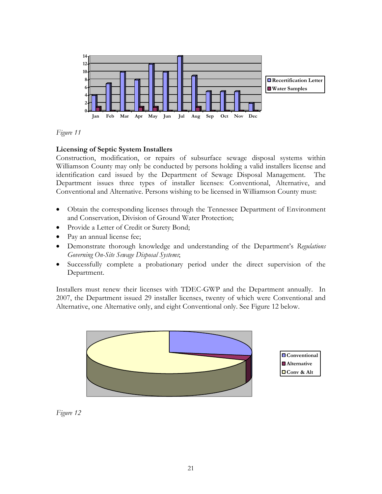

## Figure 11

# Licensing of Septic System Installers

Construction, modification, or repairs of subsurface sewage disposal systems within Williamson County may only be conducted by persons holding a valid installers license and identification card issued by the Department of Sewage Disposal Management. The Department issues three types of installer licenses: Conventional, Alternative, and Conventional and Alternative. Persons wishing to be licensed in Williamson County must:

- Obtain the corresponding licenses through the Tennessee Department of Environment and Conservation, Division of Ground Water Protection;
- Provide a Letter of Credit or Surety Bond;
- Pay an annual license fee;
- Demonstrate thorough knowledge and understanding of the Department's Regulations Governing On-Site Sewage Disposal Systems;
- Successfully complete a probationary period under the direct supervision of the Department.

Installers must renew their licenses with TDEC-GWP and the Department annually. In 2007, the Department issued 29 installer licenses, twenty of which were Conventional and Alternative, one Alternative only, and eight Conventional only. See Figure 12 below.



Figure 12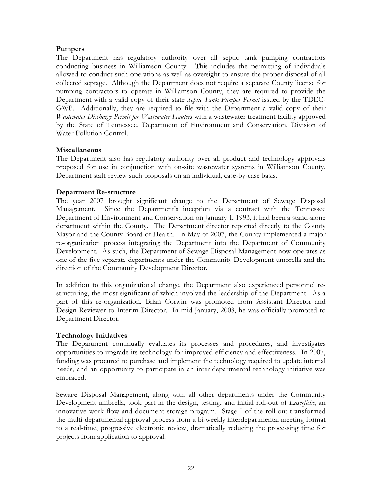## Pumpers

The Department has regulatory authority over all septic tank pumping contractors conducting business in Williamson County. This includes the permitting of individuals allowed to conduct such operations as well as oversight to ensure the proper disposal of all collected septage. Although the Department does not require a separate County license for pumping contractors to operate in Williamson County, they are required to provide the Department with a valid copy of their state Septic Tank Pumper Permit issued by the TDEC-GWP. Additionally, they are required to file with the Department a valid copy of their Wastewater Discharge Permit for Wastewater Haulers with a wastewater treatment facility approved by the State of Tennessee, Department of Environment and Conservation, Division of Water Pollution Control.

#### Miscellaneous

The Department also has regulatory authority over all product and technology approvals proposed for use in conjunction with on-site wastewater systems in Williamson County. Department staff review such proposals on an individual, case-by-case basis.

## Department Re-structure

The year 2007 brought significant change to the Department of Sewage Disposal Management. Since the Department's inception via a contract with the Tennessee Department of Environment and Conservation on January 1, 1993, it had been a stand-alone department within the County. The Department director reported directly to the County Mayor and the County Board of Health. In May of 2007, the County implemented a major re-organization process integrating the Department into the Department of Community Development. As such, the Department of Sewage Disposal Management now operates as one of the five separate departments under the Community Development umbrella and the direction of the Community Development Director.

In addition to this organizational change, the Department also experienced personnel restructuring, the most significant of which involved the leadership of the Department. As a part of this re-organization, Brian Corwin was promoted from Assistant Director and Design Reviewer to Interim Director. In mid-January, 2008, he was officially promoted to Department Director.

## Technology Initiatives

The Department continually evaluates its processes and procedures, and investigates opportunities to upgrade its technology for improved efficiency and effectiveness. In 2007, funding was procured to purchase and implement the technology required to update internal needs, and an opportunity to participate in an inter-departmental technology initiative was embraced.

Sewage Disposal Management, along with all other departments under the Community Development umbrella, took part in the design, testing, and initial roll-out of *Laserfiche*, an innovative work-flow and document storage program. Stage I of the roll-out transformed the multi-departmental approval process from a bi-weekly interdepartmental meeting format to a real-time, progressive electronic review, dramatically reducing the processing time for projects from application to approval.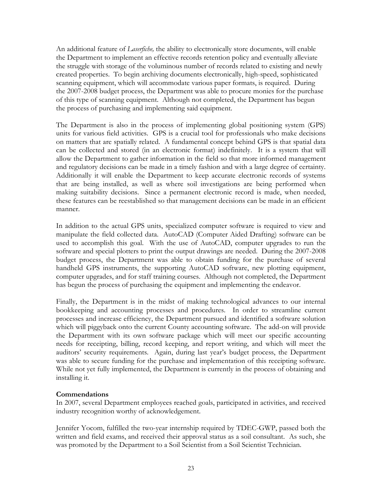An additional feature of *Laserfiche*, the ability to electronically store documents, will enable the Department to implement an effective records retention policy and eventually alleviate the struggle with storage of the voluminous number of records related to existing and newly created properties. To begin archiving documents electronically, high-speed, sophisticated scanning equipment, which will accommodate various paper formats, is required. During the 2007-2008 budget process, the Department was able to procure monies for the purchase of this type of scanning equipment. Although not completed, the Department has begun the process of purchasing and implementing said equipment.

The Department is also in the process of implementing global positioning system (GPS) units for various field activities. GPS is a crucial tool for professionals who make decisions on matters that are spatially related. A fundamental concept behind GPS is that spatial data can be collected and stored (in an electronic format) indefinitely. It is a system that will allow the Department to gather information in the field so that more informed management and regulatory decisions can be made in a timely fashion and with a large degree of certainty. Additionally it will enable the Department to keep accurate electronic records of systems that are being installed, as well as where soil investigations are being performed when making suitability decisions. Since a permanent electronic record is made, when needed, these features can be reestablished so that management decisions can be made in an efficient manner.

In addition to the actual GPS units, specialized computer software is required to view and manipulate the field collected data. AutoCAD (Computer Aided Drafting) software can be used to accomplish this goal. With the use of AutoCAD, computer upgrades to run the software and special plotters to print the output drawings are needed. During the 2007-2008 budget process, the Department was able to obtain funding for the purchase of several handheld GPS instruments, the supporting AutoCAD software, new plotting equipment, computer upgrades, and for staff training courses. Although not completed, the Department has begun the process of purchasing the equipment and implementing the endeavor.

Finally, the Department is in the midst of making technological advances to our internal bookkeeping and accounting processes and procedures. In order to streamline current processes and increase efficiency, the Department pursued and identified a software solution which will piggyback onto the current County accounting software. The add-on will provide the Department with its own software package which will meet our specific accounting needs for receipting, billing, record keeping, and report writing, and which will meet the auditors' security requirements. Again, during last year's budget process, the Department was able to secure funding for the purchase and implementation of this receipting software. While not yet fully implemented, the Department is currently in the process of obtaining and installing it.

## Commendations

In 2007, several Department employees reached goals, participated in activities, and received industry recognition worthy of acknowledgement.

Jennifer Yocom, fulfilled the two-year internship required by TDEC-GWP, passed both the written and field exams, and received their approval status as a soil consultant. As such, she was promoted by the Department to a Soil Scientist from a Soil Scientist Technician.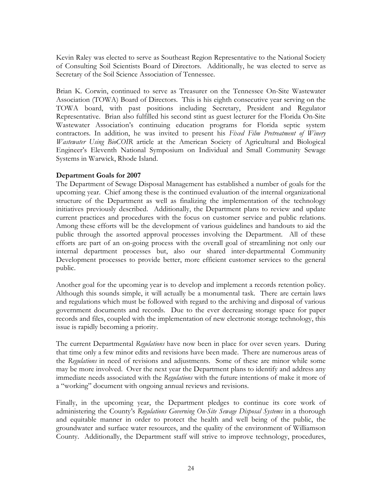Kevin Raley was elected to serve as Southeast Region Representative to the National Society of Consulting Soil Scientists Board of Directors. Additionally, he was elected to serve as Secretary of the Soil Science Association of Tennessee.

Brian K. Corwin, continued to serve as Treasurer on the Tennessee On-Site Wastewater Association (TOWA) Board of Directors. This is his eighth consecutive year serving on the TOWA board, with past positions including Secretary, President and Regulator Representative. Brian also fulfilled his second stint as guest lecturer for the Florida On-Site Wastewater Association's continuing education programs for Florida septic system contractors. In addition, he was invited to present his Fixed Film Pretreatment of Winery Wastewater Using BioCOIR article at the American Society of Agricultural and Biological Engineer's Eleventh National Symposium on Individual and Small Community Sewage Systems in Warwick, Rhode Island.

## Department Goals for 2007

The Department of Sewage Disposal Management has established a number of goals for the upcoming year. Chief among these is the continued evaluation of the internal organizational structure of the Department as well as finalizing the implementation of the technology initiatives previously described. Additionally, the Department plans to review and update current practices and procedures with the focus on customer service and public relations. Among these efforts will be the development of various guidelines and handouts to aid the public through the assorted approval processes involving the Department. All of these efforts are part of an on-going process with the overall goal of streamlining not only our internal department processes but, also our shared inter-departmental Community Development processes to provide better, more efficient customer services to the general public.

Another goal for the upcoming year is to develop and implement a records retention policy. Although this sounds simple, it will actually be a monumental task. There are certain laws and regulations which must be followed with regard to the archiving and disposal of various government documents and records. Due to the ever decreasing storage space for paper records and files, coupled with the implementation of new electronic storage technology, this issue is rapidly becoming a priority.

The current Departmental Regulations have now been in place for over seven years. During that time only a few minor edits and revisions have been made. There are numerous areas of the Regulations in need of revisions and adjustments. Some of these are minor while some may be more involved. Over the next year the Department plans to identify and address any immediate needs associated with the Regulations with the future intentions of make it more of a "working" document with ongoing annual reviews and revisions.

Finally, in the upcoming year, the Department pledges to continue its core work of administering the County's Regulations Governing On-Site Sewage Disposal Systems in a thorough and equitable manner in order to protect the health and well being of the public, the groundwater and surface water resources, and the quality of the environment of Williamson County. Additionally, the Department staff will strive to improve technology, procedures,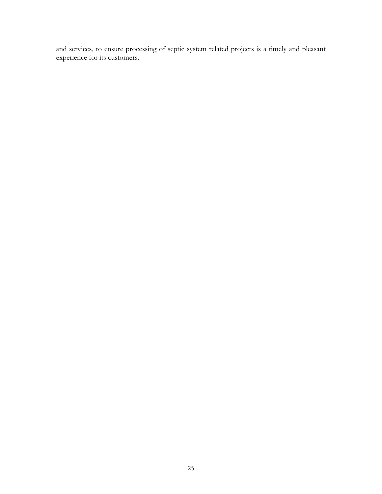and services, to ensure processing of septic system related projects is a timely and pleasant experience for its customers.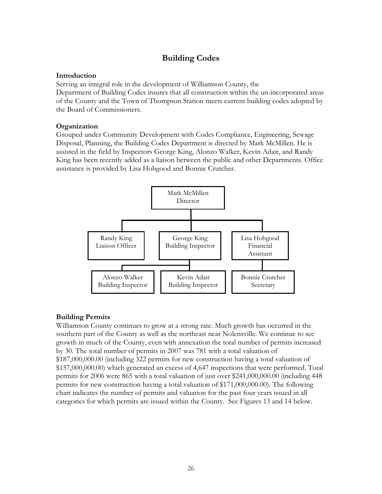# Building Codes

#### Introduction

Serving an integral role in the development of Williamson County, the Department of Building Codes insures that all construction within the un-incorporated areas of the County and the Town of Thompson Station meets current building codes adopted by the Board of Commissioners.

#### **Organization**

Grouped under Community Development with Codes Compliance, Engineering, Sewage Disposal, Planning, the Building Codes Department is directed by Mark McMillen. He is assisted in the field by Inspectors George King, Alonzo Walker, Kevin Adair, and Randy King has been recently added as a liaison between the public and other Departments. Office assistance is provided by Lisa Hobgood and Bonnie Crutcher.



## Building Permits

Williamson County continues to grow at a strong rate. Much growth has occurred in the southern part of the County as well as the northeast near Nolensville. We continue to see growth in much of the County, even with annexation the total number of permits increased by 30. The total number of permits in 2007 was 781 with a total valuation of \$187,000,000.00 (including 322 permits for new construction having a total valuation of \$157,000,000.00) which generated an excess of 4,647 inspections that were performed. Total permits for 2006 were 865 with a total valuation of just over \$241,000,000.00 (including 448 permits for new construction having a total valuation of \$171,000,000.00). The following chart indicates the number of permits and valuation for the past four years issued in all categories for which permits are issued within the County. See Figures 13 and 14 below.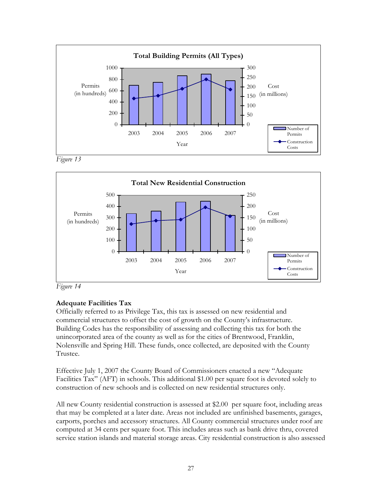

Figure 13



Figure 14

# Adequate Facilities Tax

Officially referred to as Privilege Tax, this tax is assessed on new residential and commercial structures to offset the cost of growth on the County's infrastructure. Building Codes has the responsibility of assessing and collecting this tax for both the unincorporated area of the county as well as for the cities of Brentwood, Franklin, Nolensville and Spring Hill. These funds, once collected, are deposited with the County Trustee.

Effective July 1, 2007 the County Board of Commissioners enacted a new "Adequate Facilities Tax" (AFT) in schools. This additional \$1.00 per square foot is devoted solely to construction of new schools and is collected on new residential structures only.

All new County residential construction is assessed at \$2.00 per square foot, including areas that may be completed at a later date. Areas not included are unfinished basements, garages, carports, porches and accessory structures. All County commercial structures under roof are computed at 34 cents per square foot. This includes areas such as bank drive thru, covered service station islands and material storage areas. City residential construction is also assessed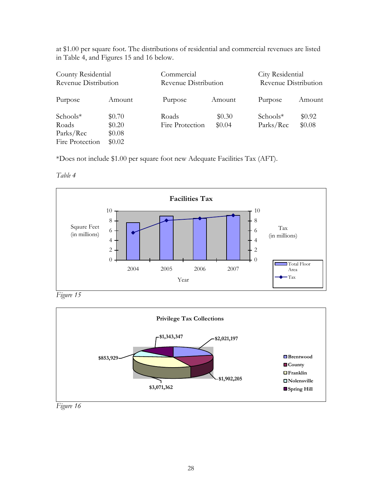at \$1.00 per square foot. The distributions of residential and commercial revenues are listed in Table 4, and Figures 15 and 16 below.

| County Residential<br>Revenue Distribution        |                                        | Commercial<br>Revenue Distribution |                  | City Residential<br>Revenue Distribution |                  |  |
|---------------------------------------------------|----------------------------------------|------------------------------------|------------------|------------------------------------------|------------------|--|
| Purpose                                           | Amount                                 | Purpose                            | Amount           | Purpose                                  | Amount           |  |
| Schools*<br>Roads<br>Parks/Rec<br>Fire Protection | \$0.70<br>\$0.20<br>\$0.08<br>\$0.02\$ | Roads<br>Fire Protection           | \$0.30<br>\$0.04 | $Schools*$<br>Parks/Rec                  | \$0.92<br>\$0.08 |  |

\*Does not include \$1.00 per square foot new Adequate Facilities Tax (AFT).

Table 4



Figure 15



Figure 16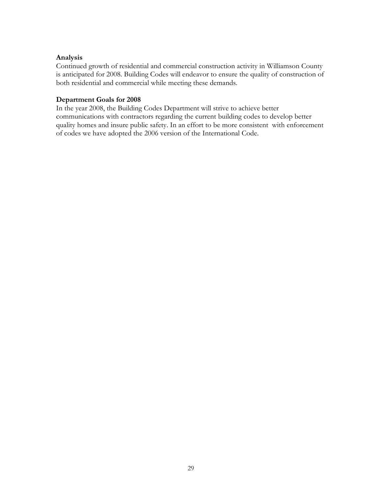#### Analysis

Continued growth of residential and commercial construction activity in Williamson County is anticipated for 2008. Building Codes will endeavor to ensure the quality of construction of both residential and commercial while meeting these demands.

#### Department Goals for 2008

In the year 2008, the Building Codes Department will strive to achieve better communications with contractors regarding the current building codes to develop better quality homes and insure public safety. In an effort to be more consistent with enforcement of codes we have adopted the 2006 version of the International Code.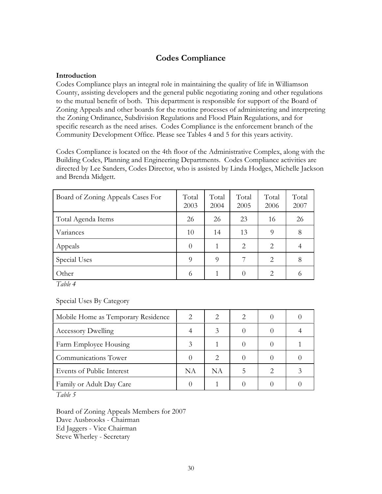# Codes Compliance

#### Introduction

Codes Compliance plays an integral role in maintaining the quality of life in Williamson County, assisting developers and the general public negotiating zoning and other regulations to the mutual benefit of both. This department is responsible for support of the Board of Zoning Appeals and other boards for the routine processes of administering and interpreting the Zoning Ordinance, Subdivision Regulations and Flood Plain Regulations, and for specific research as the need arises. Codes Compliance is the enforcement branch of the Community Development Office. Please see Tables 4 and 5 for this years activity.

Codes Compliance is located on the 4th floor of the Administrative Complex, along with the Building Codes, Planning and Engineering Departments. Codes Compliance activities are directed by Lee Sanders, Codes Director, who is assisted by Linda Hodges, Michelle Jackson and Brenda Midgett.

| Board of Zoning Appeals Cases For | Total<br>2003 | Total<br>2004 | Total<br>2005 | Total<br>2006  | Total<br>2007 |
|-----------------------------------|---------------|---------------|---------------|----------------|---------------|
| Total Agenda Items                | 26            | 26            | 23            | 16             | 26            |
| Variances                         | 10            | 14            | 13            | 9              | 8             |
| Appeals                           | $\theta$      | 1             | 2             | 2              |               |
| Special Uses                      | 9             | $\Omega$      | 7             | $\mathfrak{D}$ | 8             |
| Other                             | 6             | 1             | $\Omega$      | $\overline{2}$ | 6             |

Table 4

Special Uses By Category

| Mobile Home as Temporary Residence |           |           | 2 |  |
|------------------------------------|-----------|-----------|---|--|
| <b>Accessory Dwelling</b>          |           |           |   |  |
| Farm Employee Housing              |           |           |   |  |
| Communications Tower               |           |           |   |  |
| Events of Public Interest          | <b>NA</b> | <b>NA</b> |   |  |
| Family or Adult Day Care           |           |           |   |  |

Table 5

Board of Zoning Appeals Members for 2007 Dave Ausbrooks - Chairman Ed Jaggers - Vice Chairman Steve Wherley - Secretary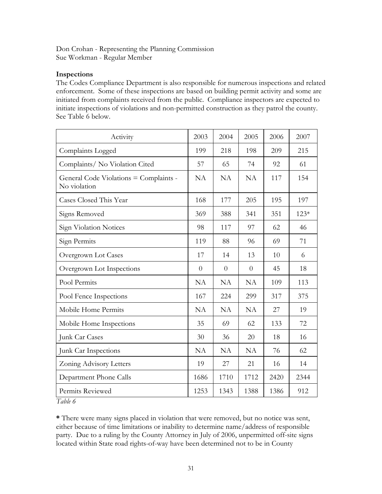Don Crohan - Representing the Planning Commission Sue Workman - Regular Member

#### Inspections

The Codes Compliance Department is also responsible for numerous inspections and related enforcement. Some of these inspections are based on building permit activity and some are initiated from complaints received from the public. Compliance inspectors are expected to initiate inspections of violations and non-permitted construction as they patrol the county. See Table 6 below.

| Activity                                               | 2003           | 2004      | 2005      | 2006 | 2007   |
|--------------------------------------------------------|----------------|-----------|-----------|------|--------|
| Complaints Logged                                      | 199            | 218       | 198       | 209  | 215    |
| Complaints/ No Violation Cited                         | 57             | 65        | 74        | 92   | 61     |
| General Code Violations = Complaints -<br>No violation | NA             | <b>NA</b> | <b>NA</b> | 117  | 154    |
| Cases Closed This Year                                 | 168            | 177       | 205       | 195  | 197    |
| Signs Removed                                          | 369            | 388       | 341       | 351  | $123*$ |
| Sign Violation Notices                                 | 98             | 117       | 97        | 62   | 46     |
| Sign Permits                                           | 119            | 88        | 96        | 69   | 71     |
| Overgrown Lot Cases                                    | 17             | 14        | 13        | 10   | 6      |
| Overgrown Lot Inspections                              | $\overline{0}$ | $\theta$  | $\theta$  | 45   | 18     |
| Pool Permits                                           | <b>NA</b>      | <b>NA</b> | <b>NA</b> | 109  | 113    |
| Pool Fence Inspections                                 | 167            | 224       | 299       | 317  | 375    |
| Mobile Home Permits                                    | <b>NA</b>      | <b>NA</b> | <b>NA</b> | 27   | 19     |
| Mobile Home Inspections                                | 35             | 69        | 62        | 133  | 72     |
| Junk Car Cases                                         | 30             | 36        | 20        | 18   | 16     |
| Junk Car Inspections                                   | <b>NA</b>      | NA        | <b>NA</b> | 76   | 62     |
| Zoning Advisory Letters                                | 19             | 27        | 21        | 16   | 14     |
| Department Phone Calls                                 | 1686           | 1710      | 1712      | 2420 | 2344   |
| Permits Reviewed                                       | 1253           | 1343      | 1388      | 1386 | 912    |

Table 6

\* There were many signs placed in violation that were removed, but no notice was sent, either because of time limitations or inability to determine name/address of responsible party. Due to a ruling by the County Attorney in July of 2006, unpermitted off-site signs located within State road rights-of-way have been determined not to be in County